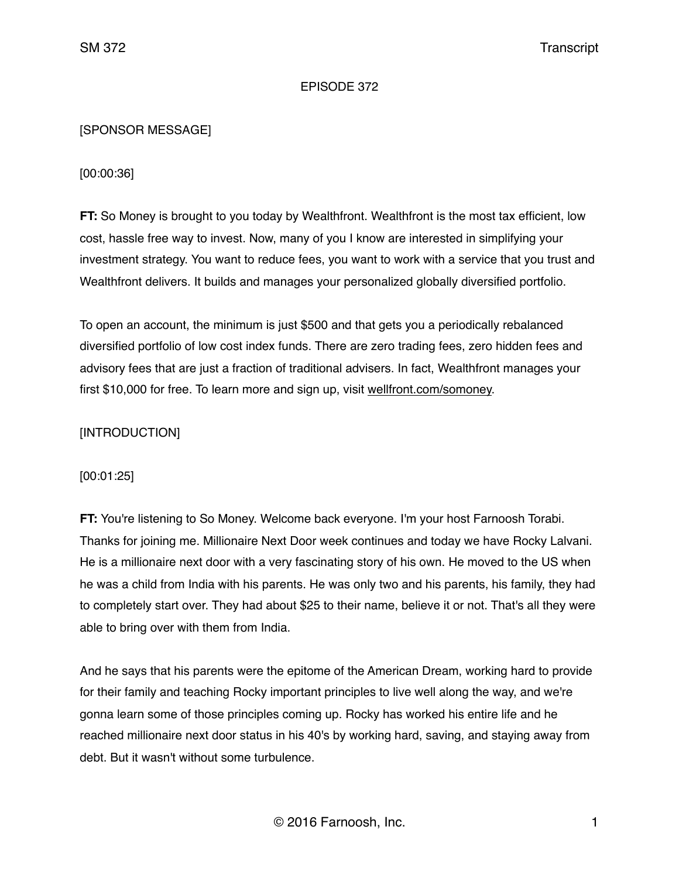## EPISODE 372

## [SPONSOR MESSAGE]

[00:00:36]

**FT:** So Money is brought to you today by Wealthfront. Wealthfront is the most tax efficient, low cost, hassle free way to invest. Now, many of you I know are interested in simplifying your investment strategy. You want to reduce fees, you want to work with a service that you trust and Wealthfront delivers. It builds and manages your personalized globally diversified portfolio.

To open an account, the minimum is just \$500 and that gets you a periodically rebalanced diversified portfolio of low cost index funds. There are zero trading fees, zero hidden fees and advisory fees that are just a fraction of traditional advisers. In fact, Wealthfront manages your first \$10,000 for free. To learn more and sign up, visit [wellfront.com/somoney.](http://wellfront.com/somoney)

# [INTRODUCTION]

# [00:01:25]

**FT:** You're listening to So Money. Welcome back everyone. I'm your host Farnoosh Torabi. Thanks for joining me. Millionaire Next Door week continues and today we have Rocky Lalvani. He is a millionaire next door with a very fascinating story of his own. He moved to the US when he was a child from India with his parents. He was only two and his parents, his family, they had to completely start over. They had about \$25 to their name, believe it or not. That's all they were able to bring over with them from India.

And he says that his parents were the epitome of the American Dream, working hard to provide for their family and teaching Rocky important principles to live well along the way, and we're gonna learn some of those principles coming up. Rocky has worked his entire life and he reached millionaire next door status in his 40's by working hard, saving, and staying away from debt. But it wasn't without some turbulence.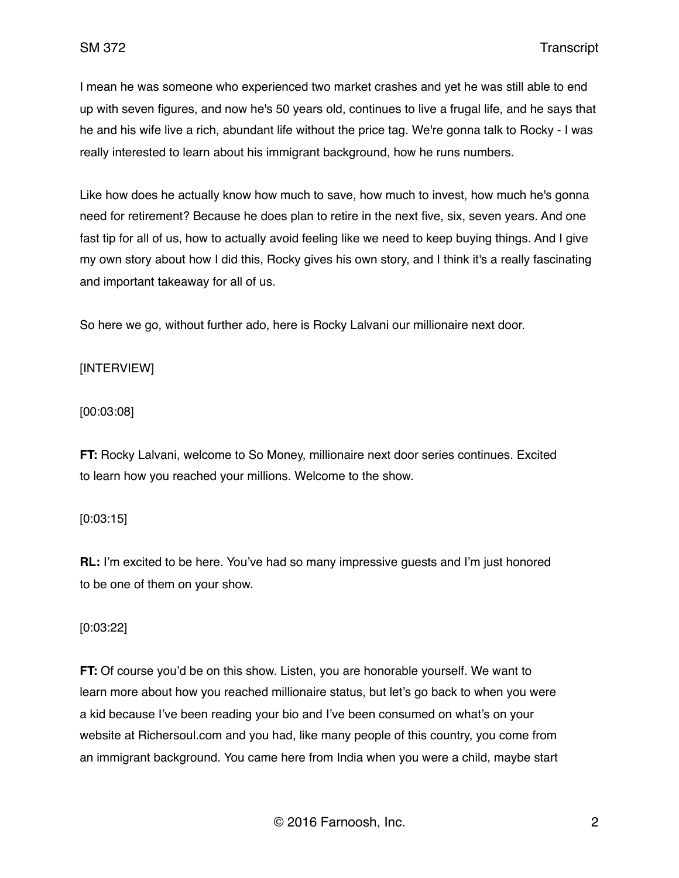I mean he was someone who experienced two market crashes and yet he was still able to end up with seven figures, and now he's 50 years old, continues to live a frugal life, and he says that he and his wife live a rich, abundant life without the price tag. We're gonna talk to Rocky - I was really interested to learn about his immigrant background, how he runs numbers.

Like how does he actually know how much to save, how much to invest, how much he's gonna need for retirement? Because he does plan to retire in the next five, six, seven years. And one fast tip for all of us, how to actually avoid feeling like we need to keep buying things. And I give my own story about how I did this, Rocky gives his own story, and I think it's a really fascinating and important takeaway for all of us.

So here we go, without further ado, here is Rocky Lalvani our millionaire next door.

[INTERVIEW]

[00:03:08]

**FT:** Rocky Lalvani, welcome to So Money, millionaire next door series continues. Excited to learn how you reached your millions. Welcome to the show.

[0:03:15]

**RL:** I'm excited to be here. You've had so many impressive guests and I'm just honored to be one of them on your show.

[0:03:22]

**FT:** Of course you'd be on this show. Listen, you are honorable yourself. We want to learn more about how you reached millionaire status, but let's go back to when you were a kid because I've been reading your bio and I've been consumed on what's on your website at Richersoul.com and you had, like many people of this country, you come from an immigrant background. You came here from India when you were a child, maybe start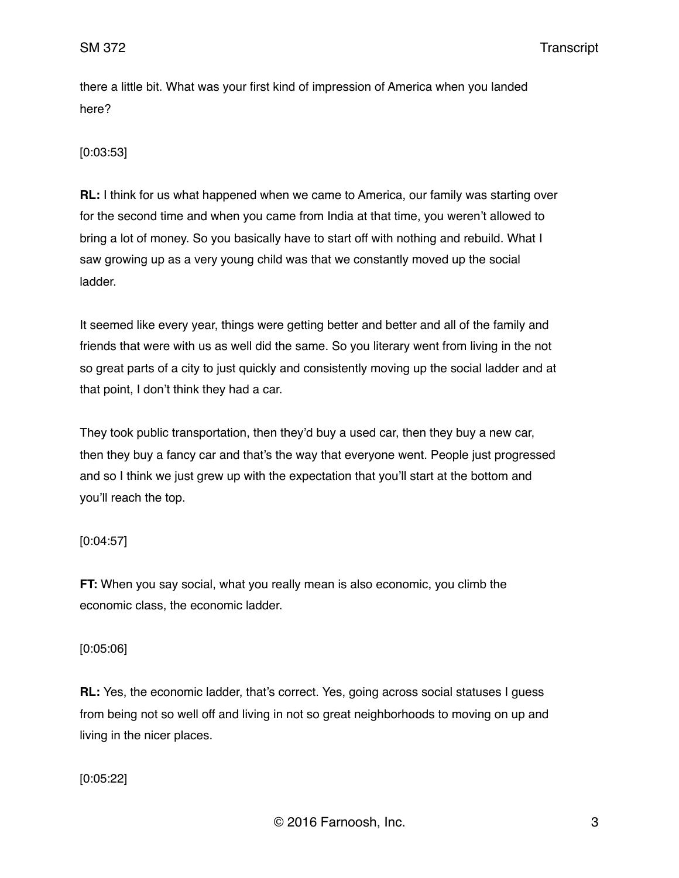there a little bit. What was your first kind of impression of America when you landed here?

[0:03:53]

**RL:** I think for us what happened when we came to America, our family was starting over for the second time and when you came from India at that time, you weren't allowed to bring a lot of money. So you basically have to start off with nothing and rebuild. What I saw growing up as a very young child was that we constantly moved up the social ladder.

It seemed like every year, things were getting better and better and all of the family and friends that were with us as well did the same. So you literary went from living in the not so great parts of a city to just quickly and consistently moving up the social ladder and at that point, I don't think they had a car.

They took public transportation, then they'd buy a used car, then they buy a new car, then they buy a fancy car and that's the way that everyone went. People just progressed and so I think we just grew up with the expectation that you'll start at the bottom and you'll reach the top.

# [0:04:57]

**FT:** When you say social, what you really mean is also economic, you climb the economic class, the economic ladder.

### [0:05:06]

**RL:** Yes, the economic ladder, that's correct. Yes, going across social statuses I guess from being not so well off and living in not so great neighborhoods to moving on up and living in the nicer places.

[0:05:22]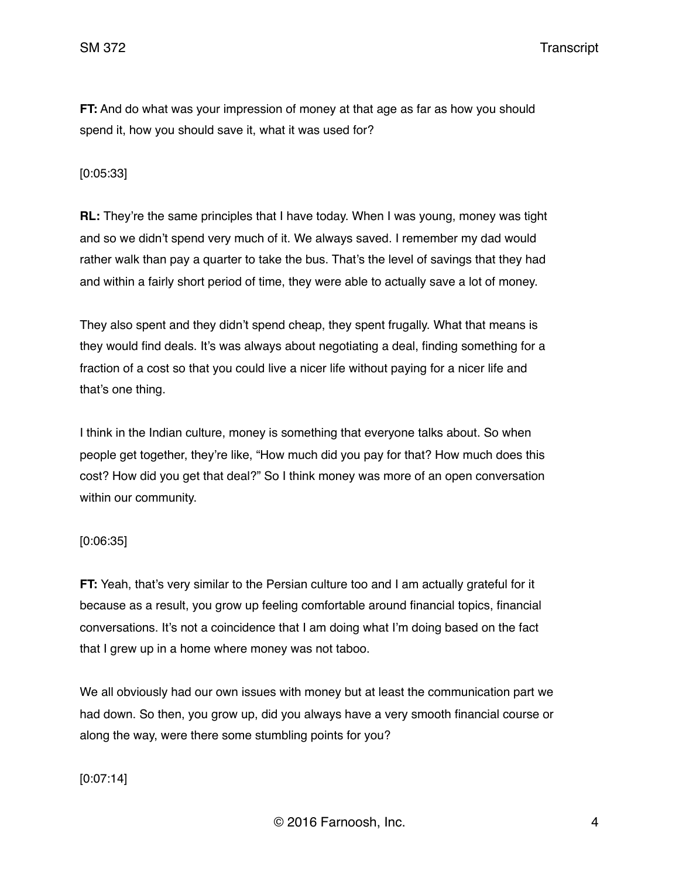**FT:** And do what was your impression of money at that age as far as how you should spend it, how you should save it, what it was used for?

[0:05:33]

**RL:** They're the same principles that I have today. When I was young, money was tight and so we didn't spend very much of it. We always saved. I remember my dad would rather walk than pay a quarter to take the bus. That's the level of savings that they had and within a fairly short period of time, they were able to actually save a lot of money.

They also spent and they didn't spend cheap, they spent frugally. What that means is they would find deals. It's was always about negotiating a deal, finding something for a fraction of a cost so that you could live a nicer life without paying for a nicer life and that's one thing.

I think in the Indian culture, money is something that everyone talks about. So when people get together, they're like, "How much did you pay for that? How much does this cost? How did you get that deal?" So I think money was more of an open conversation within our community.

### [0:06:35]

**FT:** Yeah, that's very similar to the Persian culture too and I am actually grateful for it because as a result, you grow up feeling comfortable around financial topics, financial conversations. It's not a coincidence that I am doing what I'm doing based on the fact that I grew up in a home where money was not taboo.

We all obviously had our own issues with money but at least the communication part we had down. So then, you grow up, did you always have a very smooth financial course or along the way, were there some stumbling points for you?

[0:07:14]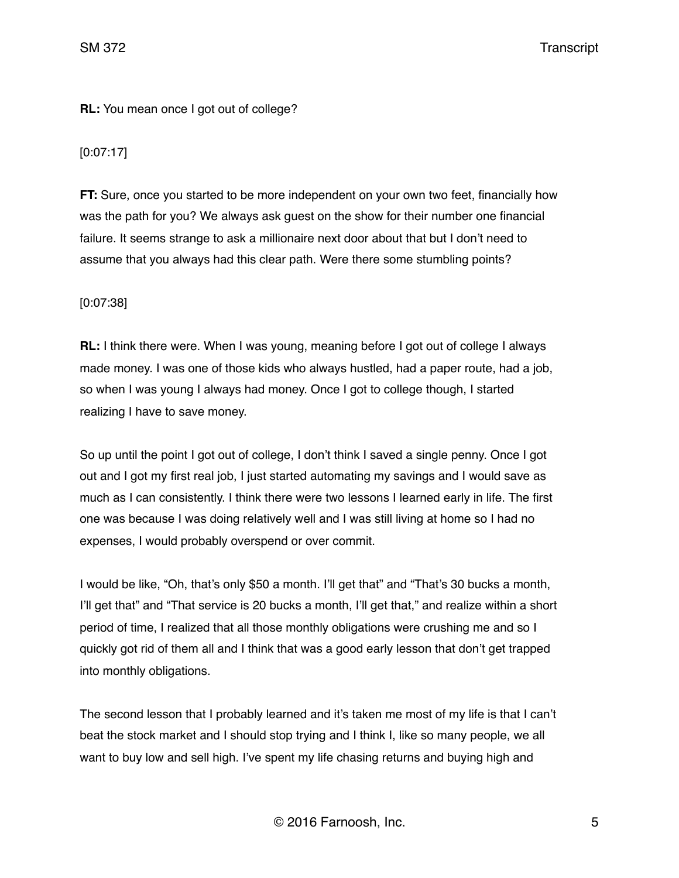# **RL:** You mean once I got out of college?

# [0:07:17]

**FT:** Sure, once you started to be more independent on your own two feet, financially how was the path for you? We always ask guest on the show for their number one financial failure. It seems strange to ask a millionaire next door about that but I don't need to assume that you always had this clear path. Were there some stumbling points?

## [0:07:38]

**RL:** I think there were. When I was young, meaning before I got out of college I always made money. I was one of those kids who always hustled, had a paper route, had a job, so when I was young I always had money. Once I got to college though, I started realizing I have to save money.

So up until the point I got out of college, I don't think I saved a single penny. Once I got out and I got my first real job, I just started automating my savings and I would save as much as I can consistently. I think there were two lessons I learned early in life. The first one was because I was doing relatively well and I was still living at home so I had no expenses, I would probably overspend or over commit.

I would be like, "Oh, that's only \$50 a month. I'll get that" and "That's 30 bucks a month, I'll get that" and "That service is 20 bucks a month, I'll get that," and realize within a short period of time, I realized that all those monthly obligations were crushing me and so I quickly got rid of them all and I think that was a good early lesson that don't get trapped into monthly obligations.

The second lesson that I probably learned and it's taken me most of my life is that I can't beat the stock market and I should stop trying and I think I, like so many people, we all want to buy low and sell high. I've spent my life chasing returns and buying high and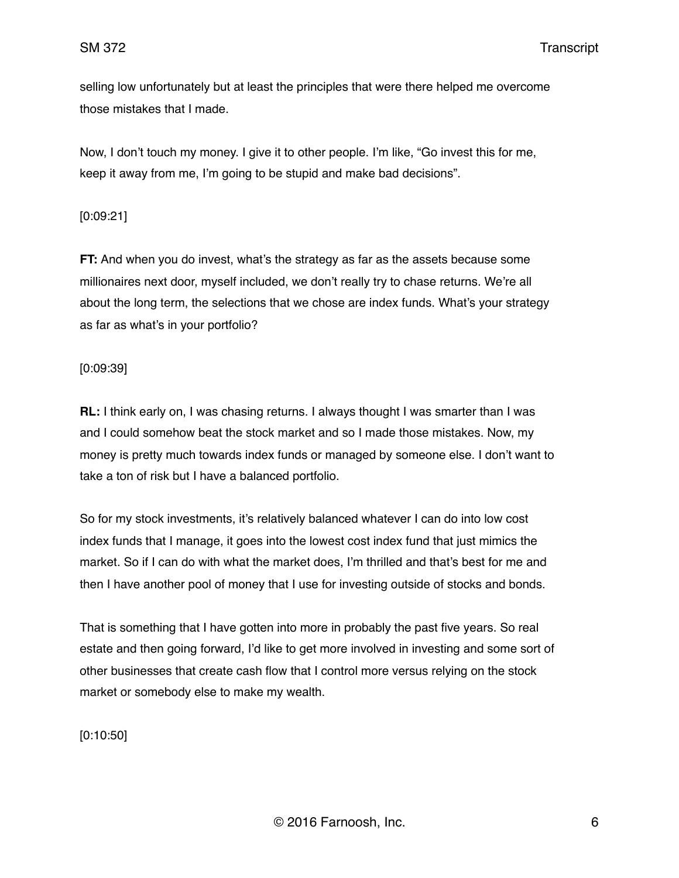selling low unfortunately but at least the principles that were there helped me overcome those mistakes that I made.

Now, I don't touch my money. I give it to other people. I'm like, "Go invest this for me, keep it away from me, I'm going to be stupid and make bad decisions".

### [0:09:21]

**FT:** And when you do invest, what's the strategy as far as the assets because some millionaires next door, myself included, we don't really try to chase returns. We're all about the long term, the selections that we chose are index funds. What's your strategy as far as what's in your portfolio?

#### [0:09:39]

**RL:** I think early on, I was chasing returns. I always thought I was smarter than I was and I could somehow beat the stock market and so I made those mistakes. Now, my money is pretty much towards index funds or managed by someone else. I don't want to take a ton of risk but I have a balanced portfolio.

So for my stock investments, it's relatively balanced whatever I can do into low cost index funds that I manage, it goes into the lowest cost index fund that just mimics the market. So if I can do with what the market does, I'm thrilled and that's best for me and then I have another pool of money that I use for investing outside of stocks and bonds.

That is something that I have gotten into more in probably the past five years. So real estate and then going forward, I'd like to get more involved in investing and some sort of other businesses that create cash flow that I control more versus relying on the stock market or somebody else to make my wealth.

[0:10:50]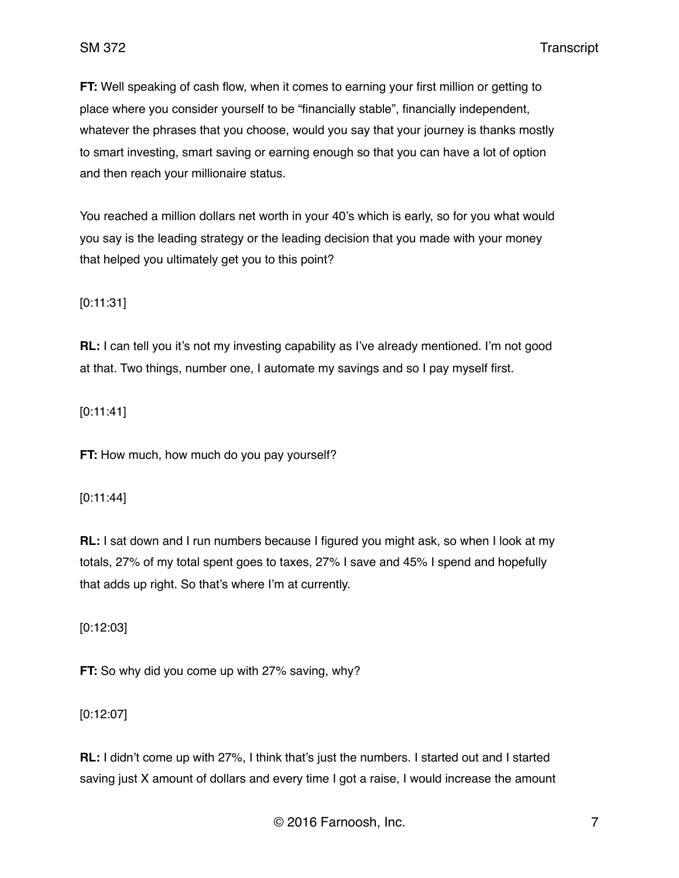**FT:** Well speaking of cash flow, when it comes to earning your first million or getting to place where you consider yourself to be "financially stable", financially independent, whatever the phrases that you choose, would you say that your journey is thanks mostly to smart investing, smart saving or earning enough so that you can have a lot of option and then reach your millionaire status.

You reached a million dollars net worth in your 40's which is early, so for you what would you say is the leading strategy or the leading decision that you made with your money that helped you ultimately get you to this point?

[0:11:31]

**RL:** I can tell you it's not my investing capability as I've already mentioned. I'm not good at that. Two things, number one, I automate my savings and so I pay myself first.

[0:11:41]

**FT:** How much, how much do you pay yourself?

### [0:11:44]

**RL:** I sat down and I run numbers because I figured you might ask, so when I look at my totals, 27% of my total spent goes to taxes, 27% I save and 45% I spend and hopefully that adds up right. So that's where I'm at currently.

[0:12:03]

**FT:** So why did you come up with 27% saving, why?

[0:12:07]

**RL:** I didn't come up with 27%, I think that's just the numbers. I started out and I started saving just X amount of dollars and every time I got a raise, I would increase the amount

© 2016 Farnoosh, Inc. 7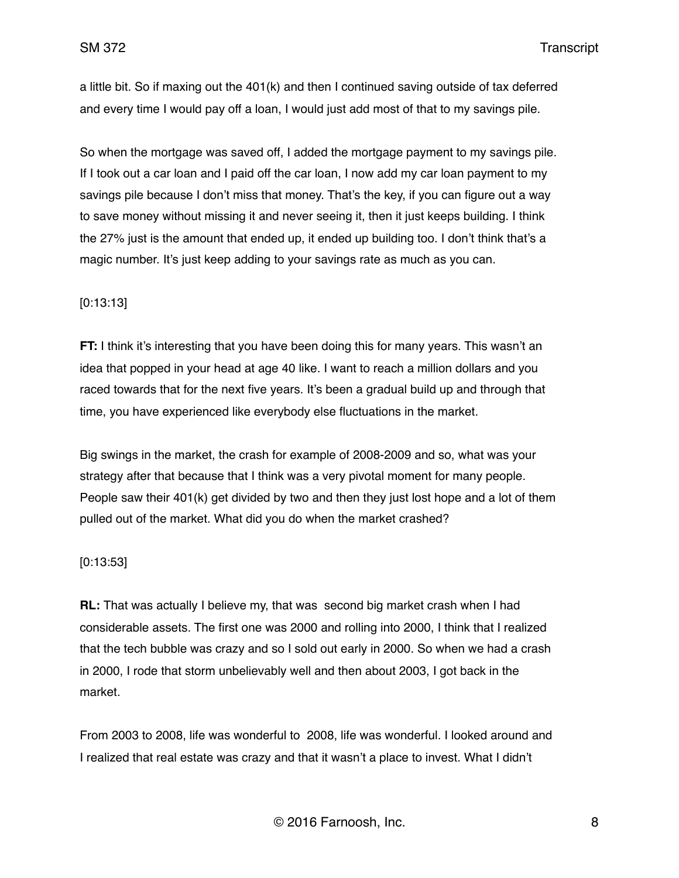a little bit. So if maxing out the 401(k) and then I continued saving outside of tax deferred and every time I would pay off a loan, I would just add most of that to my savings pile.

So when the mortgage was saved off, I added the mortgage payment to my savings pile. If I took out a car loan and I paid off the car loan, I now add my car loan payment to my savings pile because I don't miss that money. That's the key, if you can figure out a way to save money without missing it and never seeing it, then it just keeps building. I think the 27% just is the amount that ended up, it ended up building too. I don't think that's a magic number. It's just keep adding to your savings rate as much as you can.

#### [0:13:13]

**FT:** I think it's interesting that you have been doing this for many years. This wasn't an idea that popped in your head at age 40 like. I want to reach a million dollars and you raced towards that for the next five years. It's been a gradual build up and through that time, you have experienced like everybody else fluctuations in the market.

Big swings in the market, the crash for example of 2008-2009 and so, what was your strategy after that because that I think was a very pivotal moment for many people. People saw their 401(k) get divided by two and then they just lost hope and a lot of them pulled out of the market. What did you do when the market crashed?

#### [0:13:53]

**RL:** That was actually I believe my, that was second big market crash when I had considerable assets. The first one was 2000 and rolling into 2000, I think that I realized that the tech bubble was crazy and so I sold out early in 2000. So when we had a crash in 2000, I rode that storm unbelievably well and then about 2003, I got back in the market.

From 2003 to 2008, life was wonderful to 2008, life was wonderful. I looked around and I realized that real estate was crazy and that it wasn't a place to invest. What I didn't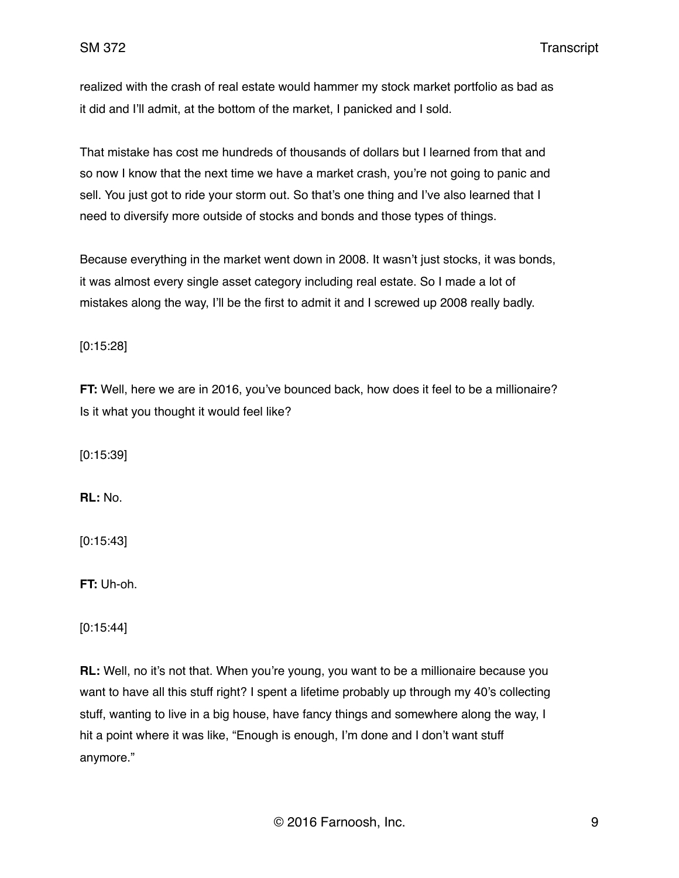realized with the crash of real estate would hammer my stock market portfolio as bad as it did and I'll admit, at the bottom of the market, I panicked and I sold.

That mistake has cost me hundreds of thousands of dollars but I learned from that and so now I know that the next time we have a market crash, you're not going to panic and sell. You just got to ride your storm out. So that's one thing and I've also learned that I need to diversify more outside of stocks and bonds and those types of things.

Because everything in the market went down in 2008. It wasn't just stocks, it was bonds, it was almost every single asset category including real estate. So I made a lot of mistakes along the way, I'll be the first to admit it and I screwed up 2008 really badly.

[0:15:28]

**FT:** Well, here we are in 2016, you've bounced back, how does it feel to be a millionaire? Is it what you thought it would feel like?

[0:15:39]

**RL:** No.

[0:15:43]

**FT:** Uh-oh.

[0:15:44]

**RL:** Well, no it's not that. When you're young, you want to be a millionaire because you want to have all this stuff right? I spent a lifetime probably up through my 40's collecting stuff, wanting to live in a big house, have fancy things and somewhere along the way, I hit a point where it was like, "Enough is enough, I'm done and I don't want stuff anymore."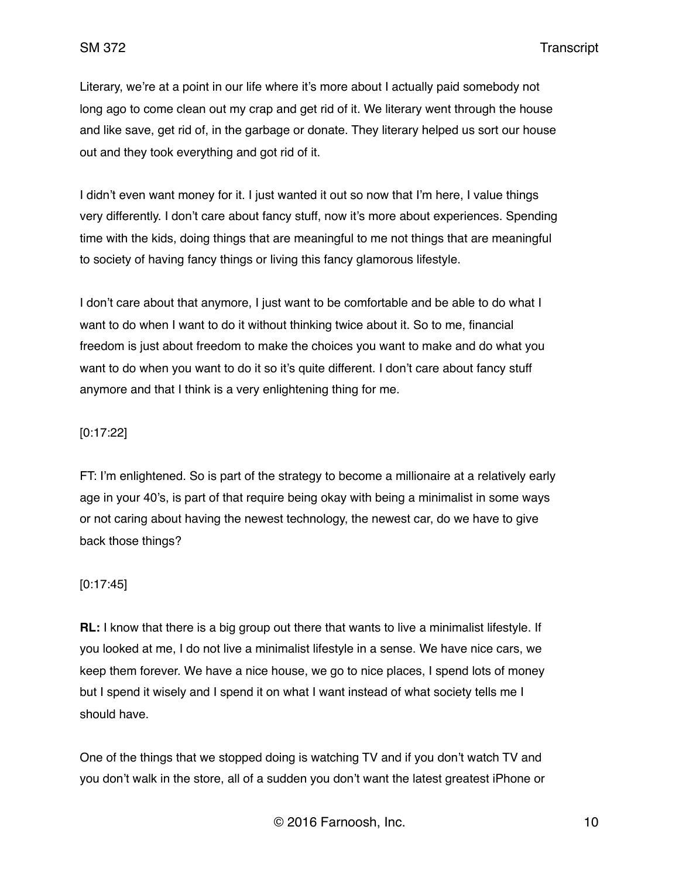Literary, we're at a point in our life where it's more about I actually paid somebody not long ago to come clean out my crap and get rid of it. We literary went through the house and like save, get rid of, in the garbage or donate. They literary helped us sort our house out and they took everything and got rid of it.

I didn't even want money for it. I just wanted it out so now that I'm here, I value things very differently. I don't care about fancy stuff, now it's more about experiences. Spending time with the kids, doing things that are meaningful to me not things that are meaningful to society of having fancy things or living this fancy glamorous lifestyle.

I don't care about that anymore, I just want to be comfortable and be able to do what I want to do when I want to do it without thinking twice about it. So to me, financial freedom is just about freedom to make the choices you want to make and do what you want to do when you want to do it so it's quite different. I don't care about fancy stuff anymore and that I think is a very enlightening thing for me.

#### [0:17:22]

FT: I'm enlightened. So is part of the strategy to become a millionaire at a relatively early age in your 40's, is part of that require being okay with being a minimalist in some ways or not caring about having the newest technology, the newest car, do we have to give back those things?

#### [0:17:45]

**RL:** I know that there is a big group out there that wants to live a minimalist lifestyle. If you looked at me, I do not live a minimalist lifestyle in a sense. We have nice cars, we keep them forever. We have a nice house, we go to nice places, I spend lots of money but I spend it wisely and I spend it on what I want instead of what society tells me I should have.

One of the things that we stopped doing is watching TV and if you don't watch TV and you don't walk in the store, all of a sudden you don't want the latest greatest iPhone or

© 2016 Farnoosh, Inc. 10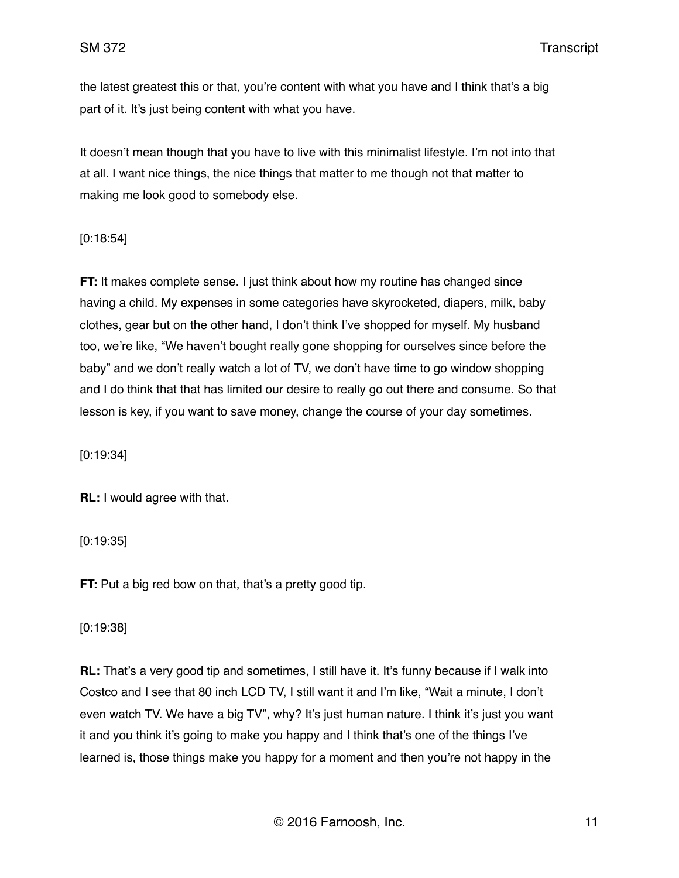the latest greatest this or that, you're content with what you have and I think that's a big part of it. It's just being content with what you have.

It doesn't mean though that you have to live with this minimalist lifestyle. I'm not into that at all. I want nice things, the nice things that matter to me though not that matter to making me look good to somebody else.

#### [0:18:54]

**FT:** It makes complete sense. I just think about how my routine has changed since having a child. My expenses in some categories have skyrocketed, diapers, milk, baby clothes, gear but on the other hand, I don't think I've shopped for myself. My husband too, we're like, "We haven't bought really gone shopping for ourselves since before the baby" and we don't really watch a lot of TV, we don't have time to go window shopping and I do think that that has limited our desire to really go out there and consume. So that lesson is key, if you want to save money, change the course of your day sometimes.

[0:19:34]

**RL:** I would agree with that.

[0:19:35]

**FT:** Put a big red bow on that, that's a pretty good tip.

### [0:19:38]

**RL:** That's a very good tip and sometimes, I still have it. It's funny because if I walk into Costco and I see that 80 inch LCD TV, I still want it and I'm like, "Wait a minute, I don't even watch TV. We have a big TV", why? It's just human nature. I think it's just you want it and you think it's going to make you happy and I think that's one of the things I've learned is, those things make you happy for a moment and then you're not happy in the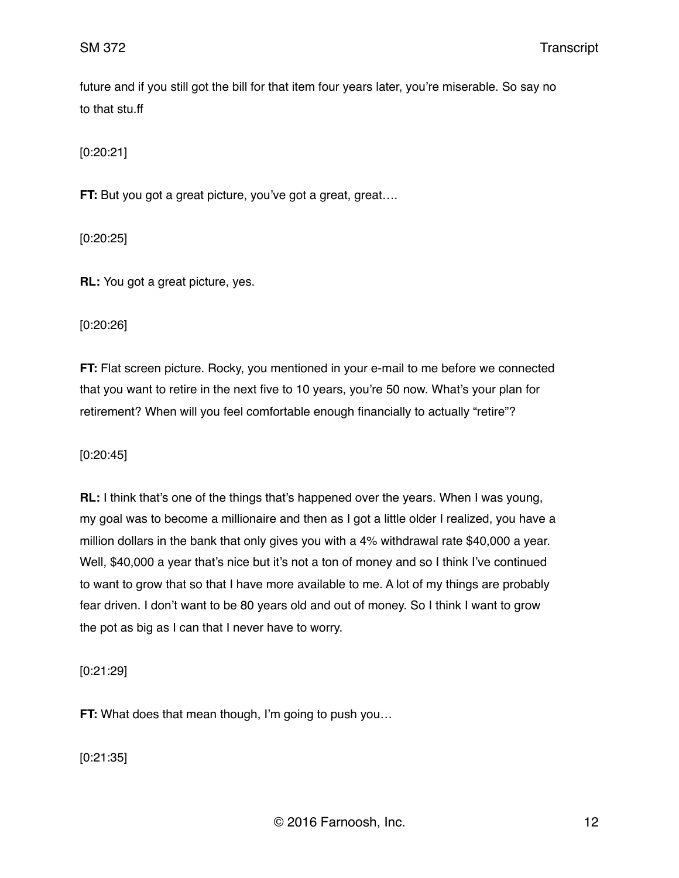future and if you still got the bill for that item four years later, you're miserable. So say no to that stu.ff

[0:20:21]

**FT:** But you got a great picture, you've got a great, great....

[0:20:25]

**RL:** You got a great picture, yes.

[0:20:26]

**FT:** Flat screen picture. Rocky, you mentioned in your e-mail to me before we connected that you want to retire in the next five to 10 years, you're 50 now. What's your plan for retirement? When will you feel comfortable enough financially to actually "retire"?

[0:20:45]

**RL:** I think that's one of the things that's happened over the years. When I was young, my goal was to become a millionaire and then as I got a little older I realized, you have a million dollars in the bank that only gives you with a 4% withdrawal rate \$40,000 a year. Well, \$40,000 a year that's nice but it's not a ton of money and so I think I've continued to want to grow that so that I have more available to me. A lot of my things are probably fear driven. I don't want to be 80 years old and out of money. So I think I want to grow the pot as big as I can that I never have to worry.

[0:21:29]

**FT:** What does that mean though, I'm going to push you...

[0:21:35]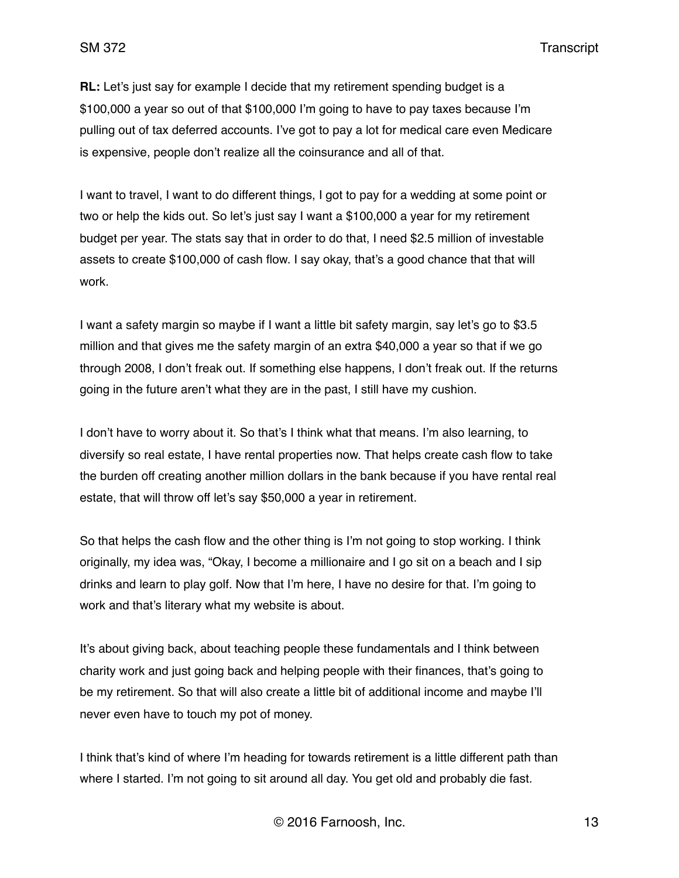**RL:** Let's just say for example I decide that my retirement spending budget is a \$100,000 a year so out of that \$100,000 I'm going to have to pay taxes because I'm pulling out of tax deferred accounts. I've got to pay a lot for medical care even Medicare is expensive, people don't realize all the coinsurance and all of that.

I want to travel, I want to do different things, I got to pay for a wedding at some point or two or help the kids out. So let's just say I want a \$100,000 a year for my retirement budget per year. The stats say that in order to do that, I need \$2.5 million of investable assets to create \$100,000 of cash flow. I say okay, that's a good chance that that will work.

I want a safety margin so maybe if I want a little bit safety margin, say let's go to \$3.5 million and that gives me the safety margin of an extra \$40,000 a year so that if we go through 2008, I don't freak out. If something else happens, I don't freak out. If the returns going in the future aren't what they are in the past, I still have my cushion.

I don't have to worry about it. So that's I think what that means. I'm also learning, to diversify so real estate, I have rental properties now. That helps create cash flow to take the burden off creating another million dollars in the bank because if you have rental real estate, that will throw off let's say \$50,000 a year in retirement.

So that helps the cash flow and the other thing is I'm not going to stop working. I think originally, my idea was, "Okay, I become a millionaire and I go sit on a beach and I sip drinks and learn to play golf. Now that I'm here, I have no desire for that. I'm going to work and that's literary what my website is about.

It's about giving back, about teaching people these fundamentals and I think between charity work and just going back and helping people with their finances, that's going to be my retirement. So that will also create a little bit of additional income and maybe I'll never even have to touch my pot of money.

I think that's kind of where I'm heading for towards retirement is a little different path than where I started. I'm not going to sit around all day. You get old and probably die fast.

© 2016 Farnoosh, Inc. 13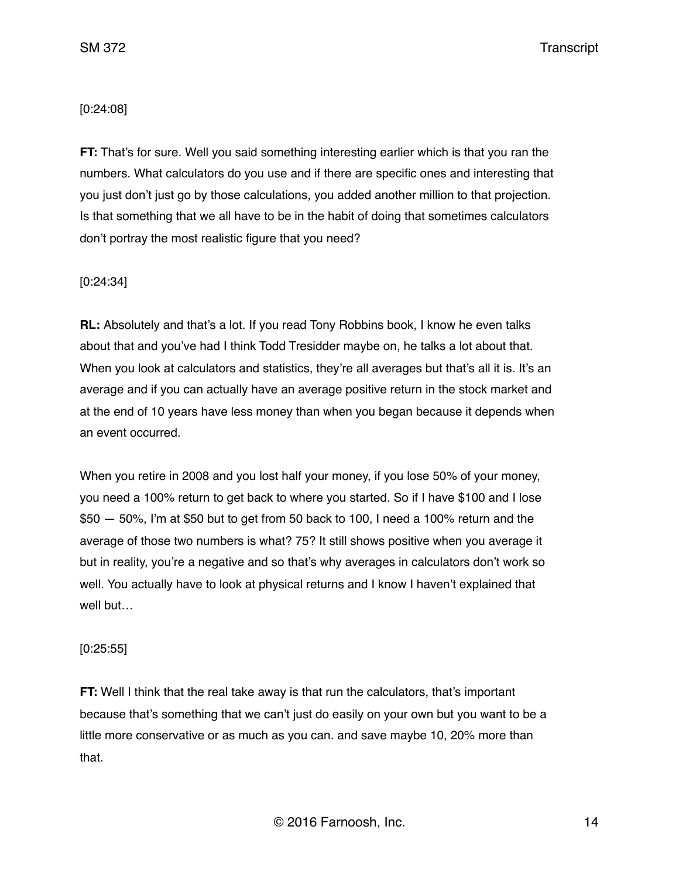## [0:24:08]

**FT:** That's for sure. Well you said something interesting earlier which is that you ran the numbers. What calculators do you use and if there are specific ones and interesting that you just don't just go by those calculations, you added another million to that projection. Is that something that we all have to be in the habit of doing that sometimes calculators don't portray the most realistic figure that you need?

## [0:24:34]

**RL:** Absolutely and that's a lot. If you read Tony Robbins book, I know he even talks about that and you've had I think Todd Tresidder maybe on, he talks a lot about that. When you look at calculators and statistics, they're all averages but that's all it is. It's an average and if you can actually have an average positive return in the stock market and at the end of 10 years have less money than when you began because it depends when an event occurred.

When you retire in 2008 and you lost half your money, if you lose 50% of your money, you need a 100% return to get back to where you started. So if I have \$100 and I lose \$50 — 50%, I'm at \$50 but to get from 50 back to 100, I need a 100% return and the average of those two numbers is what? 75? It still shows positive when you average it but in reality, you're a negative and so that's why averages in calculators don't work so well. You actually have to look at physical returns and I know I haven't explained that well but…

### [0:25:55]

**FT:** Well I think that the real take away is that run the calculators, that's important because that's something that we can't just do easily on your own but you want to be a little more conservative or as much as you can. and save maybe 10, 20% more than that.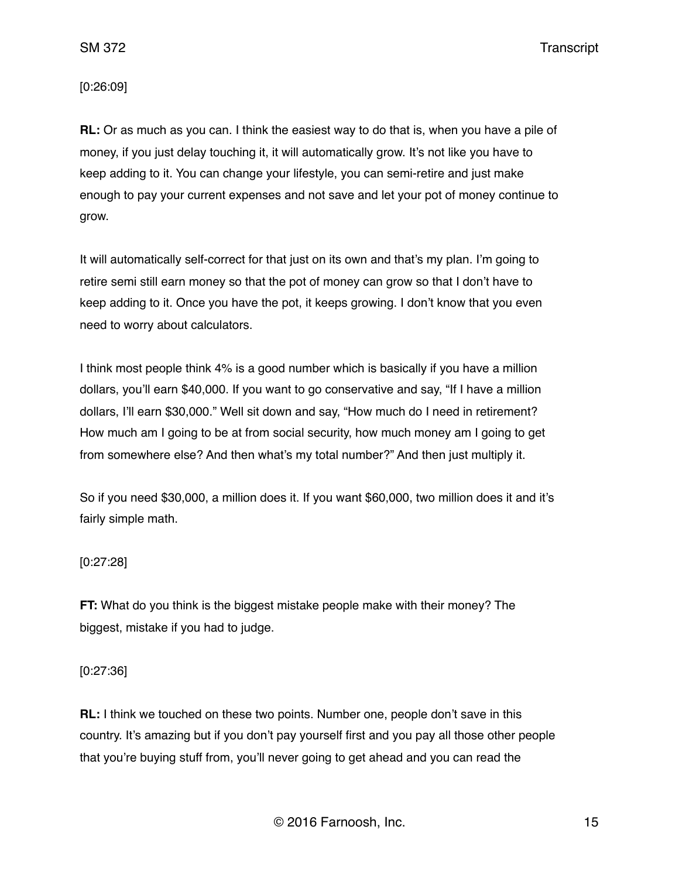#### [0:26:09]

**RL:** Or as much as you can. I think the easiest way to do that is, when you have a pile of money, if you just delay touching it, it will automatically grow. It's not like you have to keep adding to it. You can change your lifestyle, you can semi-retire and just make enough to pay your current expenses and not save and let your pot of money continue to grow.

It will automatically self-correct for that just on its own and that's my plan. I'm going to retire semi still earn money so that the pot of money can grow so that I don't have to keep adding to it. Once you have the pot, it keeps growing. I don't know that you even need to worry about calculators.

I think most people think 4% is a good number which is basically if you have a million dollars, you'll earn \$40,000. If you want to go conservative and say, "If I have a million dollars, I'll earn \$30,000." Well sit down and say, "How much do I need in retirement? How much am I going to be at from social security, how much money am I going to get from somewhere else? And then what's my total number?" And then just multiply it.

So if you need \$30,000, a million does it. If you want \$60,000, two million does it and it's fairly simple math.

#### [0:27:28]

**FT:** What do you think is the biggest mistake people make with their money? The biggest, mistake if you had to judge.

#### [0:27:36]

**RL:** I think we touched on these two points. Number one, people don't save in this country. It's amazing but if you don't pay yourself first and you pay all those other people that you're buying stuff from, you'll never going to get ahead and you can read the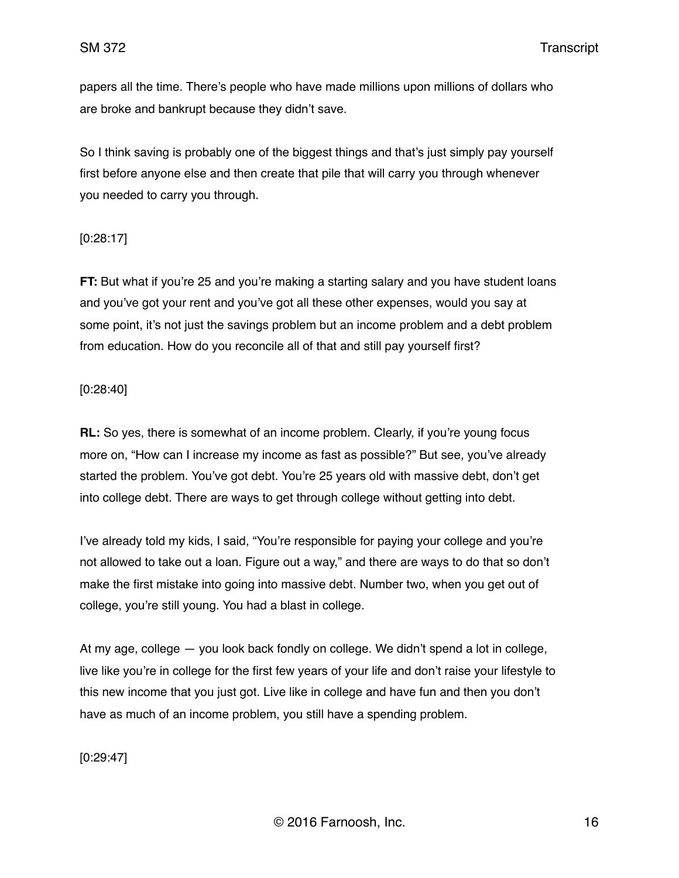papers all the time. There's people who have made millions upon millions of dollars who are broke and bankrupt because they didn't save.

So I think saving is probably one of the biggest things and that's just simply pay yourself first before anyone else and then create that pile that will carry you through whenever you needed to carry you through.

#### [0:28:17]

**FT:** But what if you're 25 and you're making a starting salary and you have student loans and you've got your rent and you've got all these other expenses, would you say at some point, it's not just the savings problem but an income problem and a debt problem from education. How do you reconcile all of that and still pay yourself first?

#### [0:28:40]

**RL:** So yes, there is somewhat of an income problem. Clearly, if you're young focus more on, "How can I increase my income as fast as possible?" But see, you've already started the problem. You've got debt. You're 25 years old with massive debt, don't get into college debt. There are ways to get through college without getting into debt.

I've already told my kids, I said, "You're responsible for paying your college and you're not allowed to take out a loan. Figure out a way," and there are ways to do that so don't make the first mistake into going into massive debt. Number two, when you get out of college, you're still young. You had a blast in college.

At my age, college — you look back fondly on college. We didn't spend a lot in college, live like you're in college for the first few years of your life and don't raise your lifestyle to this new income that you just got. Live like in college and have fun and then you don't have as much of an income problem, you still have a spending problem.

[0:29:47]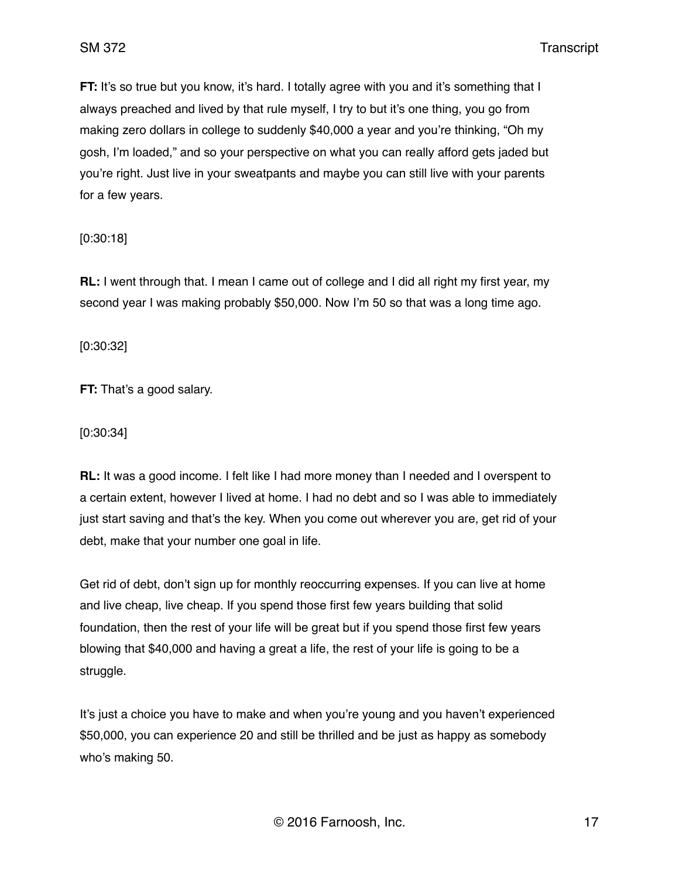**FT:** It's so true but you know, it's hard. I totally agree with you and it's something that I always preached and lived by that rule myself, I try to but it's one thing, you go from making zero dollars in college to suddenly \$40,000 a year and you're thinking, "Oh my gosh, I'm loaded," and so your perspective on what you can really afford gets jaded but you're right. Just live in your sweatpants and maybe you can still live with your parents for a few years.

[0:30:18]

**RL:** I went through that. I mean I came out of college and I did all right my first year, my second year I was making probably \$50,000. Now I'm 50 so that was a long time ago.

[0:30:32]

**FT:** That's a good salary.

[0:30:34]

**RL:** It was a good income. I felt like I had more money than I needed and I overspent to a certain extent, however I lived at home. I had no debt and so I was able to immediately just start saving and that's the key. When you come out wherever you are, get rid of your debt, make that your number one goal in life.

Get rid of debt, don't sign up for monthly reoccurring expenses. If you can live at home and live cheap, live cheap. If you spend those first few years building that solid foundation, then the rest of your life will be great but if you spend those first few years blowing that \$40,000 and having a great a life, the rest of your life is going to be a struggle.

It's just a choice you have to make and when you're young and you haven't experienced \$50,000, you can experience 20 and still be thrilled and be just as happy as somebody who's making 50.